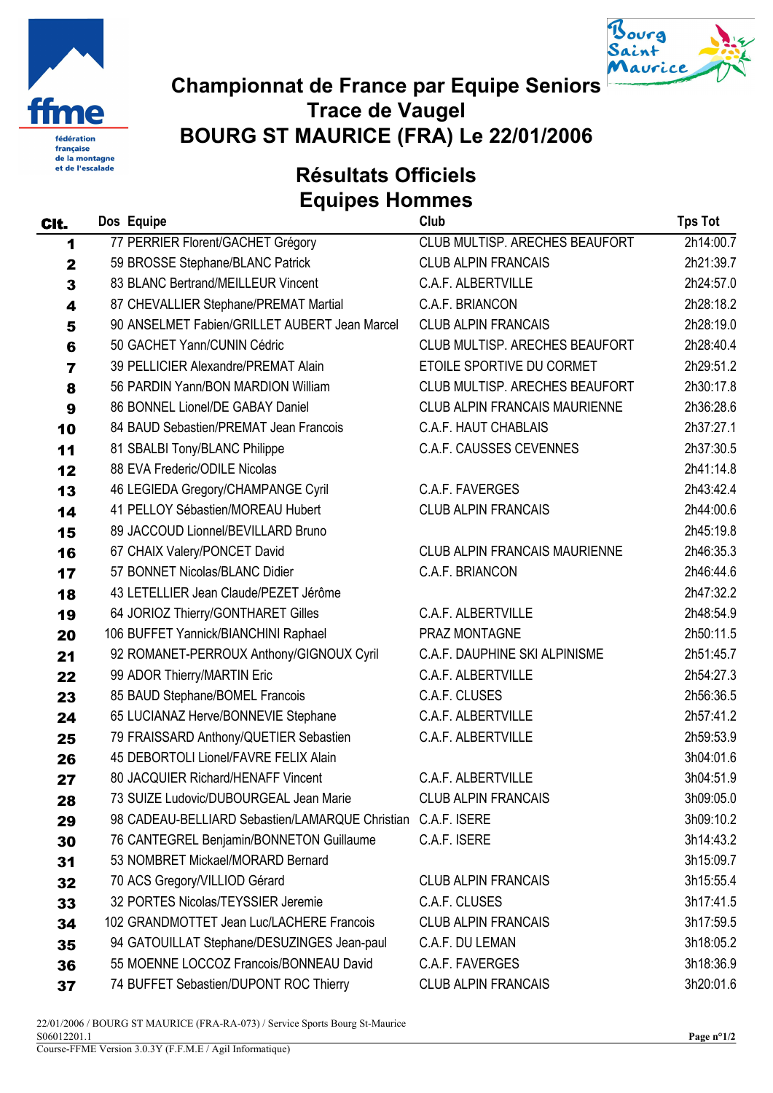



## Championnat de France par Equipe Seniors Trace de Vaugel BOURG ST MAURICE (FRA) Le 22/01/2006

Résultats Officiels Equipes Hommes

|  | Club |
|--|------|
|  |      |

| CIt.        | Dos Equipe                                      | Club                                 | <b>Tps Tot</b> |
|-------------|-------------------------------------------------|--------------------------------------|----------------|
| 1           | 77 PERRIER Florent/GACHET Grégory               | CLUB MULTISP. ARECHES BEAUFORT       | 2h14:00.7      |
| $\mathbf 2$ | 59 BROSSE Stephane/BLANC Patrick                | <b>CLUB ALPIN FRANCAIS</b>           | 2h21:39.7      |
| 3           | 83 BLANC Bertrand/MEILLEUR Vincent              | C.A.F. ALBERTVILLE                   | 2h24:57.0      |
| 4           | 87 CHEVALLIER Stephane/PREMAT Martial           | C.A.F. BRIANCON                      | 2h28:18.2      |
| 5           | 90 ANSELMET Fabien/GRILLET AUBERT Jean Marcel   | <b>CLUB ALPIN FRANCAIS</b>           | 2h28:19.0      |
| 6           | 50 GACHET Yann/CUNIN Cédric                     | CLUB MULTISP. ARECHES BEAUFORT       | 2h28:40.4      |
| 7           | 39 PELLICIER Alexandre/PREMAT Alain             | ETOILE SPORTIVE DU CORMET            | 2h29:51.2      |
| 8           | 56 PARDIN Yann/BON MARDION William              | CLUB MULTISP. ARECHES BEAUFORT       | 2h30:17.8      |
| 9           | 86 BONNEL Lionel/DE GABAY Daniel                | <b>CLUB ALPIN FRANCAIS MAURIENNE</b> | 2h36:28.6      |
| 10          | 84 BAUD Sebastien/PREMAT Jean Francois          | C.A.F. HAUT CHABLAIS                 | 2h37:27.1      |
| 11          | 81 SBALBI Tony/BLANC Philippe                   | <b>C.A.F. CAUSSES CEVENNES</b>       | 2h37:30.5      |
| 12          | 88 EVA Frederic/ODILE Nicolas                   |                                      | 2h41:14.8      |
| 13          | 46 LEGIEDA Gregory/CHAMPANGE Cyril              | C.A.F. FAVERGES                      | 2h43:42.4      |
| 14          | 41 PELLOY Sébastien/MOREAU Hubert               | <b>CLUB ALPIN FRANCAIS</b>           | 2h44:00.6      |
| 15          | 89 JACCOUD Lionnel/BEVILLARD Bruno              |                                      | 2h45:19.8      |
| 16          | 67 CHAIX Valery/PONCET David                    | <b>CLUB ALPIN FRANCAIS MAURIENNE</b> | 2h46:35.3      |
| 17          | 57 BONNET Nicolas/BLANC Didier                  | C.A.F. BRIANCON                      | 2h46:44.6      |
| 18          | 43 LETELLIER Jean Claude/PEZET Jérôme           |                                      | 2h47:32.2      |
| 19          | 64 JORIOZ Thierry/GONTHARET Gilles              | C.A.F. ALBERTVILLE                   | 2h48:54.9      |
| 20          | 106 BUFFET Yannick/BIANCHINI Raphael            | PRAZ MONTAGNE                        | 2h50:11.5      |
| 21          | 92 ROMANET-PERROUX Anthony/GIGNOUX Cyril        | C.A.F. DAUPHINE SKI ALPINISME        | 2h51:45.7      |
| 22          | 99 ADOR Thierry/MARTIN Eric                     | C.A.F. ALBERTVILLE                   | 2h54:27.3      |
| 23          | 85 BAUD Stephane/BOMEL Francois                 | C.A.F. CLUSES                        | 2h56:36.5      |
| 24          | 65 LUCIANAZ Herve/BONNEVIE Stephane             | C.A.F. ALBERTVILLE                   | 2h57:41.2      |
| 25          | 79 FRAISSARD Anthony/QUETIER Sebastien          | C.A.F. ALBERTVILLE                   | 2h59:53.9      |
| 26          | 45 DEBORTOLI Lionel/FAVRE FELIX Alain           |                                      | 3h04:01.6      |
| 27          | 80 JACQUIER Richard/HENAFF Vincent              | C.A.F. ALBERTVILLE                   | 3h04:51.9      |
| 28          | 73 SUIZE Ludovic/DUBOURGEAL Jean Marie          | <b>CLUB ALPIN FRANCAIS</b>           | 3h09:05.0      |
| 29          | 98 CADEAU-BELLIARD Sebastien/LAMARQUE Christian | C.A.F. ISERE                         | 3h09:10.2      |
| 30          | 76 CANTEGREL Benjamin/BONNETON Guillaume        | C.A.F. ISERE                         | 3h14:43.2      |
| 31          | 53 NOMBRET Mickael/MORARD Bernard               |                                      | 3h15:09.7      |
| 32          | 70 ACS Gregory/VILLIOD Gérard                   | <b>CLUB ALPIN FRANCAIS</b>           | 3h15:55.4      |
| 33          | 32 PORTES Nicolas/TEYSSIER Jeremie              | C.A.F. CLUSES                        | 3h17:41.5      |
| 34          | 102 GRANDMOTTET Jean Luc/LACHERE Francois       | <b>CLUB ALPIN FRANCAIS</b>           | 3h17:59.5      |
| 35          | 94 GATOUILLAT Stephane/DESUZINGES Jean-paul     | C.A.F. DU LEMAN                      | 3h18:05.2      |
| 36          | 55 MOENNE LOCCOZ Francois/BONNEAU David         | C.A.F. FAVERGES                      | 3h18:36.9      |
| 37          | 74 BUFFET Sebastien/DUPONT ROC Thierry          | <b>CLUB ALPIN FRANCAIS</b>           | 3h20:01.6      |

22/01/2006 / BOURG ST MAURICE (FRA-RA-073) / Service Sports Bourg St-Maurice S06012201.1